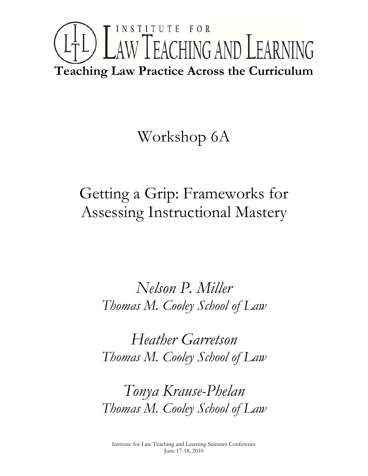# INSTITUTE FOR LAW TEACHING AND LEARNING **Teaching Law Practice Across the Curriculum**

## Workshop 6A

# Getting a Grip: Frameworks for Assessing Instructional Mastery

## *Nelson P. Miller Thomas M. Cooley School of Law*

*Heather Garretson Thomas M. Cooley School of Law* 

*Tonya Krause-Phelan Thomas M. Cooley School of Law*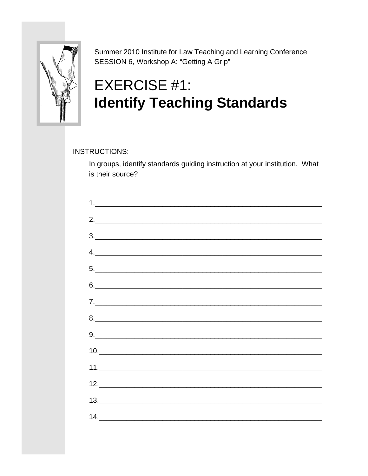

## **EXERCISE #1: Identify Teaching Standards**

## **INSTRUCTIONS:**

In groups, identify standards guiding instruction at your institution. What is their source?

| 2. |                                                                                                                                                                                                                                                                                                                                                                                                                                 |  |
|----|---------------------------------------------------------------------------------------------------------------------------------------------------------------------------------------------------------------------------------------------------------------------------------------------------------------------------------------------------------------------------------------------------------------------------------|--|
|    | 3.                                                                                                                                                                                                                                                                                                                                                                                                                              |  |
|    | $\mathcal{A}$ .                                                                                                                                                                                                                                                                                                                                                                                                                 |  |
|    | $\begin{array}{c c c c c c} \hline \text{S.} & \multicolumn{2}{c }{\text{S.} & \multicolumn{2}{c }{\text{S.} & \multicolumn{2}{c }{\text{S.} & \multicolumn{2}{c }{\text{S.} & \multicolumn{2}{c }{\text{S.} & \multicolumn{2}{c }{\text{S.} & \multicolumn{2}{c }{\text{S.} & \multicolumn{2}{c }{\text{S.} & \multicolumn{2}{c }{\text{S.} & \multicolumn{2}{c }{\text{S.} & \multicolumn{2}{c }{\text{S.} & \multicolumn{2$  |  |
|    | 6.                                                                                                                                                                                                                                                                                                                                                                                                                              |  |
|    |                                                                                                                                                                                                                                                                                                                                                                                                                                 |  |
|    | $8. \qquad \qquad 8. \qquad \qquad 8. \qquad \qquad 1. \qquad \qquad 8. \qquad \qquad 1. \qquad \qquad 1. \qquad \qquad 1. \qquad \qquad 1. \qquad \qquad 1. \qquad \qquad 1. \qquad \qquad 1. \qquad \qquad 1. \qquad \qquad 1. \qquad \qquad 1. \qquad \qquad 1. \qquad \qquad 1. \qquad \qquad 1. \qquad \qquad 1. \qquad \qquad 1. \qquad \qquad 1. \qquad \qquad 1. \qquad \qquad 1. \qquad \qquad 1. \qquad \qquad 1. \q$ |  |
|    | 9.                                                                                                                                                                                                                                                                                                                                                                                                                              |  |
|    | 10.                                                                                                                                                                                                                                                                                                                                                                                                                             |  |
|    |                                                                                                                                                                                                                                                                                                                                                                                                                                 |  |
|    |                                                                                                                                                                                                                                                                                                                                                                                                                                 |  |
|    |                                                                                                                                                                                                                                                                                                                                                                                                                                 |  |
|    |                                                                                                                                                                                                                                                                                                                                                                                                                                 |  |
|    |                                                                                                                                                                                                                                                                                                                                                                                                                                 |  |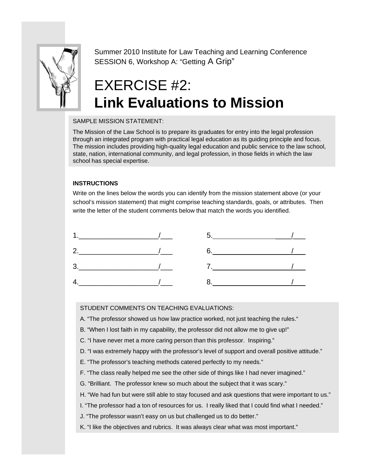

## EXERCISE #2: **Link Evaluations to Mission**

### SAMPLE MISSION STATEMENT:

The Mission of the Law School is to prepare its graduates for entry into the legal profession through an integrated program with practical legal education as its guiding principle and focus. The mission includes providing high-quality legal education and public service to the law school, state, nation, international community, and legal profession, in those fields in which the law school has special expertise.

### **INSTRUCTIONS**

Write on the lines below the words you can identify from the mission statement above (or your school's mission statement) that might comprise teaching standards, goals, or attributes. Then write the letter of the student comments below that match the words you identified.



### STUDENT COMMENTS ON TEACHING EVALUATIONS:

- A. "The professor showed us how law practice worked, not just teaching the rules."
- B. "When I lost faith in my capability, the professor did not allow me to give up!"
- C. "I have never met a more caring person than this professor. Inspiring."
- D. "I was extremely happy with the professor's level of support and overall positive attitude."
- E. "The professor's teaching methods catered perfectly to my needs."
- F. "The class really helped me see the other side of things like I had never imagined."
- G. "Brilliant. The professor knew so much about the subject that it was scary."
- H. "We had fun but were still able to stay focused and ask questions that were important to us."
- I. "The professor had a ton of resources for us. I really liked that I could find what I needed."
- J. "The professor wasn't easy on us but challenged us to do better."
- K. "I like the objectives and rubrics. It was always clear what was most important."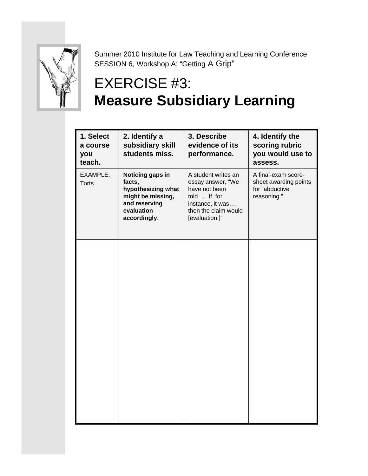

# EXERCISE #3: **Measure Subsidiary Learning**

| 1. Select<br>a course<br>you<br>teach. | 2. Identify a<br>subsidiary skill<br>students miss.                                                                  | 3. Describe<br>evidence of its<br>performance.                                                                                           | 4. Identify the<br>scoring rubric<br>you would use to<br>assess.              |
|----------------------------------------|----------------------------------------------------------------------------------------------------------------------|------------------------------------------------------------------------------------------------------------------------------------------|-------------------------------------------------------------------------------|
| <b>EXAMPLE:</b><br><b>Torts</b>        | Noticing gaps in<br>facts,<br>hypothesizing what<br>might be missing,<br>and reserving<br>evaluation<br>accordingly. | A student writes an<br>essay answer, "We<br>have not been<br>told If, for<br>instance, it was,<br>then the claim would<br>[evaluation.]" | A final-exam score-<br>sheet awarding points<br>for "abductive<br>reasoning." |
|                                        |                                                                                                                      |                                                                                                                                          |                                                                               |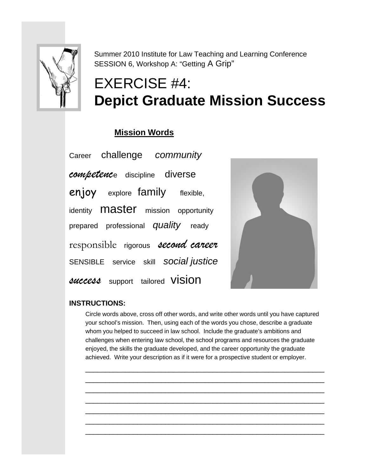

## EXERCISE #4: **Depict Graduate Mission Success**

## **Mission Words**

| Career challenge community                 |
|--------------------------------------------|
| competence discipline diverse              |
| enjoy explore family flexible,             |
| identity <b>master</b> mission opportunity |
| prepared professional <i>quality</i> ready |
| responsible rigorous second career         |
| SENSIBLE service skill SOCial justice      |
| <b>SUCCESS</b> support tailored VISION     |



### **INSTRUCTIONS:**

Circle words above, cross off other words, and write other words until you have captured your school's mission. Then, using each of the words you chose, describe a graduate whom you helped to succeed in law school. Include the graduate's ambitions and challenges when entering law school, the school programs and resources the graduate enjoyed, the skills the graduate developed, and the career opportunity the graduate achieved. Write your description as if it were for a prospective student or employer.

\_\_\_\_\_\_\_\_\_\_\_\_\_\_\_\_\_\_\_\_\_\_\_\_\_\_\_\_\_\_\_\_\_\_\_\_\_\_\_\_\_\_\_\_\_\_\_\_\_\_\_\_\_\_\_\_\_\_\_\_ \_\_\_\_\_\_\_\_\_\_\_\_\_\_\_\_\_\_\_\_\_\_\_\_\_\_\_\_\_\_\_\_\_\_\_\_\_\_\_\_\_\_\_\_\_\_\_\_\_\_\_\_\_\_\_\_\_\_\_\_ \_\_\_\_\_\_\_\_\_\_\_\_\_\_\_\_\_\_\_\_\_\_\_\_\_\_\_\_\_\_\_\_\_\_\_\_\_\_\_\_\_\_\_\_\_\_\_\_\_\_\_\_\_\_\_\_\_\_\_\_ \_\_\_\_\_\_\_\_\_\_\_\_\_\_\_\_\_\_\_\_\_\_\_\_\_\_\_\_\_\_\_\_\_\_\_\_\_\_\_\_\_\_\_\_\_\_\_\_\_\_\_\_\_\_\_\_\_\_\_\_ \_\_\_\_\_\_\_\_\_\_\_\_\_\_\_\_\_\_\_\_\_\_\_\_\_\_\_\_\_\_\_\_\_\_\_\_\_\_\_\_\_\_\_\_\_\_\_\_\_\_\_\_\_\_\_\_\_\_\_\_ \_\_\_\_\_\_\_\_\_\_\_\_\_\_\_\_\_\_\_\_\_\_\_\_\_\_\_\_\_\_\_\_\_\_\_\_\_\_\_\_\_\_\_\_\_\_\_\_\_\_\_\_\_\_\_\_\_\_\_\_ \_\_\_\_\_\_\_\_\_\_\_\_\_\_\_\_\_\_\_\_\_\_\_\_\_\_\_\_\_\_\_\_\_\_\_\_\_\_\_\_\_\_\_\_\_\_\_\_\_\_\_\_\_\_\_\_\_\_\_\_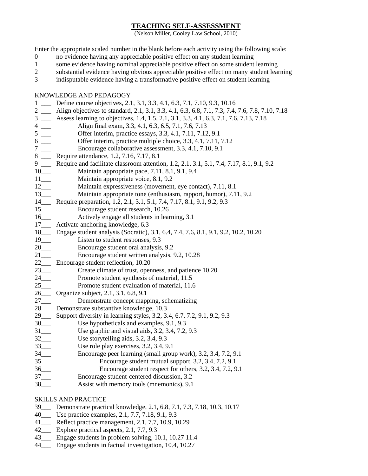### **TEACHING SELF-ASSESSMENT**

(Nelson Miller, Cooley Law School, 2010)

Enter the appropriate scaled number in the blank before each activity using the following scale:

- 0 no evidence having any appreciable positive effect on any student learning
- 1 some evidence having nominal appreciable positive effect on some student learning
- 2 substantial evidence having obvious appreciable positive effect on many student learning<br>3 indisputable evidence having a transformative positive effect on student learning
- indisputable evidence having a transformative positive effect on student learning

### KNOWLEDGE AND PEDAGOGY

| $1 \equiv$          | Define course objectives, 2.1, 3.1, 3.3, 4.1, 6.3, 7.1, 7.10, 9.3, 10.16                        |
|---------------------|-------------------------------------------------------------------------------------------------|
| $2 \equiv$          | Align objectives to standard, 2.1, 3.1, 3.3, 4.1, 6.3, 6.8, 7.1, 7.3, 7.4, 7.6, 7.8, 7.10, 7.18 |
| $3 \equiv$          | Assess learning to objectives, 1.4, 1.5, 2.1, 3.1, 3.3, 4.1, 6.3, 7.1, 7.6, 7.13, 7.18          |
| $4 \equiv$          | Align final exam, 3.3, 4.1, 6.3, 6.5, 7.1, 7.6, 7.13                                            |
| $5$ —               | Offer interim, practice essays, 3.3, 4.1, 7.11, 7.12, 9.1                                       |
| $6\hspace{0.1cm}$   | Offer interim, practice multiple choice, 3.3, 4.1, 7.11, 7.12                                   |
| $7 \equiv$          | Encourage collaborative assessment, 3.3, 4.1, 7.10, 9.1                                         |
|                     | 8 _____ Require attendance, 1.2, 7.16, 7.17, 8.1                                                |
| $9 \equiv$          | Require and facilitate classroom attention, 1.2, 2.1, 3.1, 5.1, 7.4, 7.17, 8.1, 9.1, 9.2        |
| $10$ <sub>——</sub>  | Maintain appropriate pace, 7.11, 8.1, 9.1, 9.4                                                  |
| $11$ <sub>——</sub>  | Maintain appropriate voice, 8.1, 9.2                                                            |
|                     | $12$ <sub>——</sub><br>Maintain expressiveness (movement, eye contact), 7.11, 8.1                |
| $13$ <sub>——</sub>  | Maintain appropriate tone (enthusiasm, rapport, humor), 7.11, 9.2                               |
|                     | 14_____ Require preparation, 1.2, 2.1, 3.1, 5.1, 7.4, 7.17, 8.1, 9.1, 9.2, 9.3                  |
| $15$ <sub>——</sub>  | Encourage student research, 10.26                                                               |
| $16$ <sub>——</sub>  | Actively engage all students in learning, 3.1                                                   |
|                     | 17_____ Activate anchoring knowledge, 6.3                                                       |
|                     | 18____ Engage student analysis (Socratic), 3.1, 6.4, 7.4, 7.6, 8.1, 9.1, 9.2, 10.2, 10.20       |
| $19$ <sub>—</sub>   | Listen to student responses, 9.3                                                                |
| $20$ <sub>___</sub> | Encourage student oral analysis, 9.2                                                            |
| $21$ <sub>—</sub>   | Encourage student written analysis, 9.2, 10.28                                                  |
|                     | 22____ Encourage student reflection, 10.20                                                      |
| $23$ <sub>—</sub>   | Create climate of trust, openness, and patience 10.20                                           |
| $24$ <sub>——</sub>  | Promote student synthesis of material, 11.5                                                     |
| $25\_\_$            | Promote student evaluation of material, 11.6                                                    |
| $26$ <sub>——</sub>  | Organize subject, 2.1, 3.1, 6.8, 9.1                                                            |
| $27\_$              | Demonstrate concept mapping, schematizing                                                       |
|                     | 28____ Demonstrate substantive knowledge, 10.3                                                  |
| $29$ <sub>—</sub>   | Support diversity in learning styles, 3.2, 3.4, 6.7, 7.2, 9.1, 9.2, 9.3                         |
| $30$ <sub>——</sub>  | Use hypotheticals and examples, 9.1, 9.3                                                        |
| $31$ <sub>——</sub>  | Use graphic and visual aids, 3.2, 3.4, 7.2, 9.3                                                 |
| $32$ <sub>——</sub>  | Use storytelling aids, 3.2, 3.4, 9.3                                                            |
| $33$ <sub>—</sub>   | Use role play exercises, 3.2, 3.4, 9.1                                                          |
| $34$ <sub>——</sub>  | Encourage peer learning (small group work), 3.2, 3.4, 7.2, 9.1                                  |
| $35$ <sub>——</sub>  | Encourage student mutual support, 3.2, 3.4, 7.2, 9.1                                            |
| $36$ <sub>——</sub>  | Encourage student respect for others, 3.2, 3.4, 7.2, 9.1                                        |
| $37$ <sub>——</sub>  | Encourage student-centered discussion, 3.2                                                      |
| $38$ <sub>——</sub>  | Assist with memory tools (mnemonics), 9.1                                                       |

### SKILLS AND PRACTICE

- 39\_\_\_ Demonstrate practical knowledge, 2.1, 6.8, 7.1, 7.3, 7.18, 10.3, 10.17
- 40\_\_\_ Use practice examples, 2.1, 7.7, 7.18, 9.1, 9.3
- 41\_\_\_ Reflect practice management, 2.1, 7.7, 10.9, 10.29
- 42\_\_\_ Explore practical aspects, 2.1, 7.7, 9.3
- 43\_\_\_ Engage students in problem solving, 10.1, 10.27 11.4
- 44\_\_\_ Engage students in factual investigation, 10.4, 10.27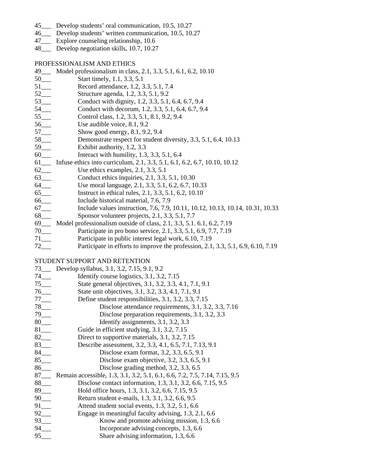- 45\_\_\_ Develop students' oral communication, 10.5, 10.27
- 46\_\_\_ Develop students' written communication, 10.5, 10.27
- 47\_\_\_ Explore counseling relationship, 10.6
- 48\_\_\_ Develop negotiation skills, 10.7, 10.27

### PROFESSIONALISM AND ETHICS

|                             | 49_____ Model professionalism in class, 2.1, 3.3, 5.1, 6.1, 6.2, 10.10            |
|-----------------------------|-----------------------------------------------------------------------------------|
| $50$ <sub>——</sub>          | Start timely, 1.1, 3.3, 5.1                                                       |
| $51$ <sub>—</sub>           | Record attendance, 1.2, 3.3, 5.1, 7.4                                             |
| $52$ <sub>——</sub>          | Structure agenda, 1.2, 3.3, 5.1, 9.2                                              |
| $53$ <sub>——</sub>          | Conduct with dignity, 1.2, 3.3, 5.1, 6.4, 6.7, 9.4                                |
|                             | $54$ <sub>——</sub><br>Conduct with decorum, 1.2, 3.3, 5.1, 6.4, 6.7, 9.4          |
|                             | $55$ <sub>——</sub><br>Control class, 1.2, 3.3, 5.1, 8.1, 9.2, 9.4                 |
|                             | $56$ <sub>——</sub><br>Use audible voice, $8.1, 9.2$                               |
|                             | Show good energy, 8.1, 9.2, 9.4                                                   |
|                             | $57 - 58 - 58$<br>Demonstrate respect for student diversity, 3.3, 5.1, 6.4, 10.13 |
|                             | $59$ <sub>——</sub><br>Exhibit authority, 1.2, 3.3                                 |
| $60$ <sub>____</sub>        | Interact with humility, $1.3$ , $3.3$ , $5.1$ , $6.4$                             |
|                             | 61_____ Infuse ethics into curriculum, 2.1, 3.3, 5.1, 6.1, 6.2, 6.7, 10.10, 10.12 |
| $62$ <sub>——</sub>          | Use ethics examples, $2.1$ , $3.3$ , $5.1$                                        |
|                             | Conduct ethics inquiries, 2.1, 3.3, 5.1, 10.30                                    |
|                             | Use moral language, 2.1, 3.3, 5.1, 6.2, 6.7, 10.33                                |
| $63$<br>$64$<br>$65$<br>$-$ | Instruct in ethical rules, 2.1, 3.3, 5.1, 6.2, 10.10                              |
|                             | $66$ <sub>——</sub><br>Include historical material, 7.6, 7.9                       |
| $67$ <sub>——</sub>          | Include values instruction, 7.6, 7.9, 10.11, 10.12, 10.13, 10.14, 10.31, 10.33    |
| $68$ <sub>——</sub>          | Sponsor volunteer projects, 2.1, 3.3, 5.1, 7.7                                    |
|                             | 69_____ Model professionalism outside of class, 2.1, 3.3, 5.1, 6.1, 6.2, 7.19     |
| $70$ <sub>——</sub>          | Participate in pro bono service, 2.1, 3.3, 5.1, 6.9, 7.7, 7.19                    |
| $71$ <sub>—</sub>           | Participate in public interest legal work, 6.10, 7.19                             |
| $72$ <sub>——</sub>          | Participate in efforts to improve the profession, 2.1, 3.3, 5.1, 6.9, 6.10, 7.19  |

#### STUDENT SUPPORT AND RETENTION

|                     | 73____ Develop syllabus, 3.1, 3.2, 7.15, 9.1, 9.2                             |
|---------------------|-------------------------------------------------------------------------------|
| $74$ <sub>——</sub>  | Identify course logistics, 3.1, 3.2, 7.15                                     |
| $75$ <sub>——</sub>  | State general objectives, 3.1, 3.2, 3.3, 4.1, 7.1, 9.1                        |
| $76$ <sub>——</sub>  | State unit objectives, 3.1, 3.2, 3.3, 4.1, 7.1, 9.1                           |
| $77$ <sub>——</sub>  | Define student responsibilities, 3.1, 3.2, 3.3, 7.15                          |
| $78\__$             | Disclose attendance requirements, 3.1, 3.2, 3.3, 7.16                         |
| $79$ <sub>—</sub>   | Disclose preparation requirements, 3.1, 3.2, 3.3                              |
| $80$ <sub>——</sub>  | Identify assignments, 3.1, 3.2, 3.3                                           |
| $81$ <sub>——</sub>  | Guide in efficient studying, 3.1, 3.2, 7.15                                   |
| 82                  | Direct to supportive materials, 3.1, 3.2, 7.15                                |
| $83$ <sub>——</sub>  | Describe assessment, 3.2, 3.3, 4.1, 6.5, 7.1, 7.13, 9.1                       |
| $84$ <sub>——</sub>  | Disclose exam format, 3.2, 3.3, 6.5, 9.1                                      |
| $85$ <sub>——</sub>  | Disclose exam objective, 3.2, 3.3, 6.5, 9.1                                   |
| $86$ <sub>——</sub>  | Disclose grading method, 3.2, 3.3, 6.5                                        |
|                     | 87 Remain accessible, 1.3, 3.1, 3.2, 5.1, 6.1, 6.6, 7.2, 7.5, 7.14, 7.15, 9.5 |
| $88$ <sub>——</sub>  | Disclose contact information, 1.3, 3.1, 3.2, 6.6, 7.15, 9.5                   |
| $89$ <sub>---</sub> | Hold office hours, 1.3, 3.1, 3.2, 6.6, 7.15, 9.5                              |
| $90$ <sub>——</sub>  | Return student e-mails, 1.3, 3.1, 3.2, 6.6, 9.5                               |
| $91$ <sub>—</sub>   | Attend student social events, 1.3, 3.2, 5.1, 6.6                              |
| $92$ <sub>—</sub>   | Engage in meaningful faculty advising, 1.3, 2.1, 6.6                          |
| $93$ <sub>——</sub>  | Know and promote advising mission, 1.3, 6.6                                   |
| $94$ <sub>——</sub>  | Incorporate advising concepts, 1.3, 6.6                                       |
| $95$ <sub>——</sub>  | Share advising information, 1.3, 6.6                                          |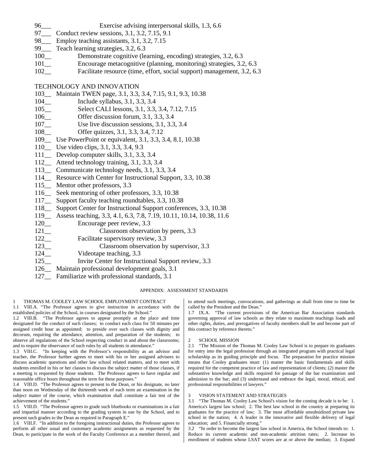- 96\_\_\_ Exercise advising interpersonal skills, 1.3, 6.6
- 97 Conduct review sessions, 3.1, 3.2, 7.15, 9.1
- 98 Employ teaching assistants, 3.1, 3.2, 7.15
- 99 Teach learning strategies, 3.2, 6.3
- 100\_\_ Demonstrate cognitive (learning, encoding) strategies, 3.2, 6.3
- 101 Encourage metacognitive (planning, monitoring) strategies, 3.2, 6.3
- 102\_\_ Facilitate resource (time, effort, social support) management, 3.2, 6.3

#### TECHNOLOGY AND INNOVATION

- 103\_\_ Maintain TWEN page, 3.1, 3.3, 3.4, 7.15, 9.1, 9.3, 10.38
- 104\_ Include syllabus, 3.1, 3.3, 3.4
- 105\_\_ Select CALI lessons, 3.1, 3.3, 3.4, 7.12, 7.15
- 106 Offer discussion forum, 3.1, 3.3, 3.4
- 107 Use live discussion sessions, 3.1, 3.3, 3.4
- 108\_\_ Offer quizzes, 3.1, 3.3, 3.4, 7.12
- 109\_\_ Use PowerPoint or equivalent, 3.1, 3.3, 3.4, 8.1, 10.38
- 110\_\_ Use video clips, 3.1, 3.3, 3.4, 9.3
- 111\_\_ Develop computer skills, 3.1, 3.3, 3.4
- 112\_\_ Attend technology training, 3.1, 3.3, 3.4
- 113\_\_ Communicate technology needs, 3.1, 3.3, 3.4
- 114\_\_ Resource with Center for Instructional Support, 3.3, 10.38
- 115\_\_ Mentor other professors, 3.3
- 116\_\_ Seek mentoring of other professors, 3.3, 10.38
- 117\_\_ Support faculty teaching roundtables, 3.3, 10.38
- 118\_\_ Support Center for Instructional Support conferences, 3.3, 10.38
- 119\_\_ Assess teaching, 3.3, 4.1, 6.3, 7.8, 7.19, 10.11, 10.14, 10.38, 11.6
- 120\_\_ Encourage peer review, 3.3
- 121\_\_ Classroom observation by peers, 3.3
- 122\_ Facilitate supervisory review, 3.3
- 123\_\_ Classroom observation by supervisor, 3.3
- 124\_\_ Videotape teaching, 3.3
- 125\_ Invite Center for Instructional Support review, 3.3
- 126 Maintain professional development goals, 3.1
- 127\_\_ Familiarize with professional standards, 3.1

#### APPENDIX: ASSESSMENT STANDARDS

#### 1 THOMAS M. COOLEY LAW SCHOOL EMPLOYMENT CONTRACT

1.1 VIII.A. "The Professor agrees to give instruction in accordance with the established policies of the School, in courses designated by the School."

1.2 VIII.B. "The Professor agrees to appear promptly at the place and time designated for the conduct of such classes; to conduct each class for 50 minutes per assigned credit hour as appointed; to preside over such classes with dignity and decorum, requiring the attendance, attention, and preparation of the students; to observe all regulations of the School respecting conduct in and about the classrooms; and to require the observance of such rules by all students in attendance.'

1.3 VIII.C. "In keeping with the Professor's responsibility as an advisor and teacher, the Professor further agrees to meet with his or her assigned advisees to discuss academic questions and other law school related matters, and to meet with students enrolled in his or her classes to discuss the subject matter of those classes, if a meeting is requested by those students. The Professor agrees to have regular and reasonable office hours throughout the term for these purposes."

1.4 VIII.D. "The Professor agrees to present to the Dean, or his designate, no later than noon on Wednesday of the thirteenth week of each term an examination in the subject matter of the course, which examination shall constitute a fair test of the achievement of the students."

1.5 VIII.D. "The Professor agrees to grade such bluebooks or examinations in a fair and impartial manner according to the grading system in use by the School, and to present such grades to the Dean as required in Paragraph E."

1.6 VIII.F. "In addition to the foregoing instructional duties, the Professor agrees to perform all other usual and customary academic assignments as requested by the Dean, to participate in the work of the Faculty Conference as a member thereof, and to attend such meetings, convocations, and gatherings as shall from time to time be called by the President and the Dean."

1.7 IX.A. "The current provisions of the American Bar Association standards governing approval of law schools as they relate to maximum teachings loads and other rights, duties, and prerogatives of faculty members shall be and become part of this contract by reference thereto."

#### 2 SCHOOL MISSION

2.1 "The Mission of the Thomas M. Cooley Law School is to prepare its graduates for entry into the legal profession through an integrated program with practical legal scholarship as its guiding principle and focus. The preparation for practice mission means that Cooley graduates must: (1) master the basic fundamentals and skills required for the competent practice of law and representation of clients; (2) master the substantive knowledge and skills required for passage of the bar examination and admission to the bar; and (3) understand and embrace the legal, moral, ethical, and professional responsibilities of lawyers."

#### 3 VISION STATEMENT AND STRATEGIES

3.1 "The Thomas M. Cooley Law School's vision for the coming decade is to be: 1. America's largest law school; 2. The best law school in the country at preparing its graduates for the practice of law; 3. The most affordable unsubsidized private law school in the nation; 4. A leader in the innovative and flexible delivery of legal education; and 5. Financially strong."

3.2 "In order to become the largest law school in America, the School intends to: 1. Reduce its current academic and non-academic attrition rates; 2. Increase its enrollment of students whose LSAT scores are at or above the median; 3. Expand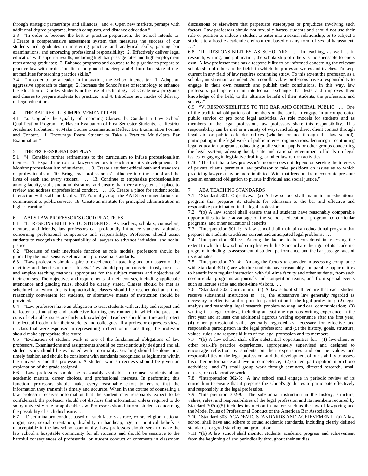through strategic partnerships and alliances; and 4. Open new markets, perhaps with additional degree programs, branch campuses, and distance education."

3.3 "In order to become the best at practice preparation, the School intends to: 1.Create a comprehensive assessment system that measures the success of our students and graduates in mastering practice and analytical skills, passing bar examinations, and embracing professional responsibility; 2. Effectively deliver legal education with superior results, including high bar passage rates and high employment rates among graduates; 3. Enhance programs and courses to help graduates prepare to practice law with professionalism and good character; and 4. Introduce state-of-theart facilities for teaching practice skills."

3.4 "In order to be a leader in innovation, the School intends to: 1. Adopt an aggressive approach to change; 2. Increase the School's use of technology to enhance the education of Cooley students in the use of technology; 3. Create new programs and classes to prepare students for practice; and 4. Introduce new modes of delivery of legal education."

#### THE BAR RESULTS IMPROVEMENT PLAN

4.1 "a. Upgrade the Quality of Incoming Classes. b. Conduct a Law School Qualification Program. c. Hasten Evaluation of First Semester Students. d. Restrict Academic Probation. e. Make Course Examinations Reflect Bar Examination Format and Content. f. Encourage Every Student to Take a Practice Multi-State Bar Examination."

#### THE PROFESSIONALISM PLAN

5.1 "4. Consider further refinements to the curriculum to infuse professionalism themes. 5. Expand the role of lawyer/mentors in each student's development. 6. Monitor professionalism of students. … 9. Create a student ethical oath and standards of professionalism. 10. Bring legal professionals' influence into the school and the lives of each and every student. … 13. Continue to emphasize professionalism among faculty, staff, and administrators, and ensure that there are systems in place to review and address unprofessional conduct. … 16. Create a place for student social interaction with staff and faculty. 17. Formally adopt the AALS recommendations on commitment to public service. 18. Create an institute for principled administration in higher learning."

#### 6 AALS LAW PROFESSOR'S GOOD PRACTICES

6.1 "I. RESPONSIBILITIES TO STUDENTS. As teachers, scholars, counselors, mentors, and friends, law professors can profoundly influence students' attitudes concerning professional competence and responsibility. Professors should assist students to recognize the responsibility of lawyers to advance individual and social justice.

6.2 "Because of their inevitable function as role models, professors should be guided by the most sensitive ethical and professional standards.

6.3 "Law professors should aspire to excellence in teaching and to mastery of the doctrines and theories of their subjects. They should prepare conscientiously for class and employ teaching methods appropriate for the subject matters and objectives of their courses. The objectives and requirements of their courses, including applicable attendance and grading rules, should be clearly stated. Classes should be met as scheduled or, when this is impracticable, classes should be rescheduled at a time reasonably convenient for students, or alternative means of instruction should be provided.

6.4 "Law professors have an obligation to treat students with civility and respect and to foster a stimulating and productive learning environment in which the pros and cons of debatable issues are fairly acknowledged. Teachers should nurture and protect intellectual freedom for their students and colleagues. If a professor expresses views in class that were espoused in representing a client or in consulting, the professor should make appropriate disclosure.

6.5 "Evaluation of student work is one of the fundamental obligations of law professors. Examinations and assignments should be conscientiously designed and all student work should be evaluated with impartiality. Grading should be done in a timely fashion and should be consistent with standards recognized as legitimate within the university and the profession. A student who so requests should be given an explanation of the grade assigned.

6.6 "Law professors should be reasonably available to counsel students about academic matters, career choices, and professional interests. In performing this function, professors should make every reasonable effort to ensure that the information they transmit is timely and accurate. When in the course of counseling a law professor receives information that the student may reasonably expect to be confidential, the professor should not disclose that information unless required to do so by university rule or applicable law. Professors should inform students concerning the possibility of such disclosure. …

6.7 "Discriminatory conduct based on such factors as race, color, religion, national origin, sex, sexual orientation, disability or handicap, age, or political beliefs is unacceptable in the law school community. Law professors should seek to make the law school a hospitable community for all students and should be sensitive to the harmful consequences of professorial or student conduct or comments in classroom discussions or elsewhere that perpetuate stereotypes or prejudices involving such factors. Law professors should not sexually harass students and should not use their role or position to induce a student to enter into a sexual relationship, or to subject a student to a hostile academic environment based on any form of sexual harassment. …"

6.8 "II. RESPONSIBILITIES AS SCHOLARS. … In teaching, as well as in research, writing, and publication, the scholarship of others is indispensable to one's own. A law professor thus has a responsibility to be informed concerning the relevant scholarship of others in the fields in which the professor writes and teaches. To keep current in any field of law requires continuing study. To this extent the professor, as a scholar, must remain a student. As a corollary, law professors have a responsibility to engage in their own research and publish their conclusions. In this way, law professors participate in an intellectual exchange that tests and improves their knowledge of the field, to the ultimate benefit of their students, the profession, and society.'

6.9 "V. RESPONSIBILITIES TO THE BAR AND GENERAL PUBLIC. … One of the traditional obligations of members of the bar is to engage in uncompensated public service or pro bono legal activities. As role models for students and as members of the legal profession, law professors share this responsibility. This responsibility can be met in a variety of ways, including direct client contact through legal aid or public defender offices (whether or not through the law school), participating in the legal work of public interest organizations, lecturing in continuing legal education programs, educating public school pupils or other groups concerning the legal system, advising local, state and national government officials on legal issues, engaging in legislative drafting, or other law reform activities.

6.10 "The fact that a law professor's income does not depend on serving the interests of private clients permits a law professor to take positions on issues as to which practicing lawyers may be more inhibited. With that freedom from economic pressure goes an enhanced obligation to pursue individual and social justice."

#### ABA TEACHING STANDARDS

7.1 "Standard 301. Objectives. (a) A law school shall maintain an educational program that prepares its students for admission to the bar and effective and responsible participation in the legal profession.

7.2 "(b) A law school shall ensure that all students have reasonably comparable opportunities to take advantage of the school's educational program, co-curricular programs, and other educational benefits.

7.3 "Interpretation 301-1: A law school shall maintain an educational program that prepares its students to address current and anticipated legal problems. …

7.4 "Interpretation 301-3: Among the factors to be considered in assessing the extent to which a law school complies with this Standard are the rigor of its academic program, including its assessment of student performance, and the bar passage rates of its graduates.

7.5 "Interpretation 301-4: Among the factors to consider in assessing compliance with Standard 301(b) are whether students have reasonably comparable opportunities to benefit from regular interaction with full-time faculty and other students, from such co-curricular programs as journals and competition teams, and from special events such as lecture series and short-time visitors. …

7.6 "Standard 302. Curriculum. (a) A law school shall require that each student receive substantial instruction in: (1) the substantive law generally regarded as necessary to effective and responsible participation in the legal profession; (2) legal analysis and reasoning, legal research, problem solving, and oral communication; (3) writing in a legal context, including at least one rigorous writing experience in the first year and at least one additional rigorous writing experience after the first year; (4) other professional skills generally regarded as necessary for effective and responsible participation in the legal profession; and (5) the history, goals, structure, values, rules, and responsibilities of the legal profession and its members.

7.7 "(b) A law school shall offer substantial opportunities for: (1) live-client or other real-life practice experiences, appropriately supervised and designed to encourage reflection by students on their experiences and on the values and responsibilities of the legal profession, and the development of one's ability to assess his or her performance and level of competence; (2) student participation in pro bono activities; and (3) small group work through seminars, directed research, small classes, or collaborative work. …

7.8 "Interpretation 302-8: A law school shall engage in periodic review of its curriculum to ensure that it prepares the school's graduates to participate effectively and responsibly in the legal profession.

7.9 "Interpretation 302-9: The substantial instruction in the history, structure, values, rules, and responsibilities of the legal profession and its members required by Standard 302(a)(5) includes instruction in matters such as the law of lawyering and the Model Rules of Professional Conduct of the American Bar Association.

7.10 "Standard 303. ACADEMIC STANDARDS AND ACHIEVEMENT. (a) A law school shall have and adhere to sound academic standards, including clearly defined standards for good standing and graduation.

7.11 "(b) A law school shall monitor students' academic progress and achievement from the beginning of and periodically throughout their studies.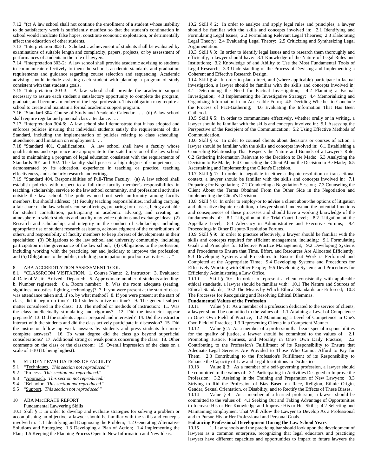7.12 "(c) A law school shall not continue the enrollment of a student whose inability to do satisfactory work is sufficiently manifest so that the student's continuation in school would inculcate false hopes, constitute economic exploitation, or detrimentally affect the education of other students.

7.13 "Interpretation 303-1: Scholastic achievement of students shall be evaluated by examinations of suitable length and complexity, papers, projects, or by assessment of performances of students in the role of lawyers.

7.14 "Interpretation 303-2: A law school shall provide academic advising to students to communicate effectively to them the school's academic standards and graduation requirements and guidance regarding course selection and sequencing. Academic advising should include assisting each student with planning a program of study consistent with that student's goals.

7.15 "Interpretation 303-3: A law school shall provide the academic support necessary to assure each student a satisfactory opportunity to complete the program, graduate, and become a member of the legal profession. This obligation may require a school to create and maintain a formal academic support program.

7.16 "Standard 304. Course of Study and Academic Calendar. … (d) A law school shall require regular and punctual class attendance. …

7.17 "Interpretation 304-6: A law school shall demonstrate that it has adopted and enforces policies insuring that individual students satisfy the requirements of this Standard, including the implementation of policies relating to class scheduling, attendance, and limitation on employment. …

7.18 "Standard 401. Qualifications. A law school shall have a faculty whose qualifications and experience are appropriate to the stated mission of the law school and to maintaining a program of legal education consistent with the requirements of Standards 301 and 302. The faculty shall possess a high degree of competence, as demonstrated by its education, experience in teaching or practice, teaching effectiveness, and scholarly research and writing.

7.19 "Standard 404. Responsibilities of Full-Time Faculty. (a) A law school shall establish policies with respect to a full-time faculty member's responsibilities in teaching, scholarship, service to the law school community, and professional activities outside the law school. The policies need not seek uniformity among faculty members, but should address: (1) Faculty teaching responsibilities, including carrying a fair share of the law school's course offerings, preparing for classes, being available for student consultation, participating in academic advising, and creating an atmosphere in which students and faculty may voice opinions and exchange ideas; (2) Research and scholarship, and integrity in the conduct of scholarship, including appropriate use of student research assistants, acknowledgment of the contributions of others, and responsibility of faculty members to keep abreast of developments in their specialties; (3) Obligations to the law school and university community, including participation in the governance of the law school; (4) Obligations to the profession, including working with the practicing bar and judiciary to improve the profession; and (5) Obligations to the public, including participation in pro bono activities. …"

#### 8 ABA ACCREDITATION ASSESSMENT TOOL

8.1 "CLASSROOM VISITATION. 1. Course Name: 2. Instructor: 3. Evaluator: 4. Date of Visit: Arrived: Departed: 5. Approximate number of students attending: b. Number registered: 6.a. Room number: b. Was the room adequate (seating, sightlines, acoustics, lighting, technology)? 7. If you were present at the start of class, was attendance taken and, if so, by what method? 8. If you were present at the start of class, did it begin on time? Did students arrive on time? 9. The general subject matter considered in the class: 10. The method or methods of instruction: 11. Was the class intellectually stimulating and rigorous? 12. Did the instructor appear prepared? 13. Did the students appear prepared and interested? 14. Did the instructor interact with the students and did the class actively participate in discussion? 15. Did the instructor follow up weak answers by students and press students for more complete answers? 16. To what degree did the class go beyond superficial considerations? 17. Additional strong or weak points concerning the class: 18. Other comments on the class or the classroom: 19. Overall impression of the class on a scale of 1-10 (10 being highest):"

- 9 STUDENT EVALUATIONS OF FACULTY
- 9.1 "Techniques. *This section not reproduced.*"
- 9.2 "Process. *This section not reproduced.*"
- 9.3 "Approach. *This section not reproduced.*"
- 9.4 "Behavior. *This section not reproduced"*
- 9.5 "Support. *This section not reproduced.*"

#### 10 ABA MacCRATE REPORT

Fundamental Lawyering Skills

10.1 Skill § 1: In order to develop and evaluate strategies for solving a problem or accomplishing an objective, a lawyer should be familiar with the skills and concepts involved in: 1.1 Identifying and Diagnosing the Problem; 1.2 Generating Alternative Solutions and Strategies; 1.3 Developing a Plan of Action; 1.4 Implementing the Plan; 1.5 Keeping the Planning Process Open to New Information and New Ideas.

10.2 Skill § 2: In order to analyze and apply legal rules and principles, a lawyer should be familiar with the skills and concepts involved in: 2.1 Identifying and Formulating Legal Issues; 2.2 Formulating Relevant Legal Theories; 2.3 Elaborating Legal Theory; 2.4 Evaluating Legal Theory; 2.5 Criticizing and Synthesizing Legal Argumentation.

10.3 Skill § 3: In order to identify legal issues and to research them thoroughly and efficiently, a lawyer should have: 3.1 Knowledge of the Nature of Legal Rules and Institutions; 3.2 Knowledge of and Ability to Use the Most Fundamental Tools of Legal Research; 3.3 Understanding of the Process of Devising and Implementing a Coherent and Effective Research Design.

10.4 Skill § 4: In order to plan, direct, and (where applicable) participate in factual investigation, a lawyer should be familiar with the skills and concepts involved in: 4.1 Determining the Need for Factual Investigation; 4.2 Planning a Factual Investigation; 4.3 Implementing the Investigative Strategy; 4.4 Memorializing and Organizing Information in an Accessible Form; 4.5 Deciding Whether to Conclude the Process of Fact-Gathering; 4.6 Evaluating the Information That Has Been Gathered.

10.5 Skill § 5: In order to communicate effectively, whether orally or in writing, a lawyer should be familiar with the skills and concepts involved in: 5.1 Assessing the Perspective of the Recipient of the Communication; 5.2 Using Effective Methods of Communication.

10.6 Skill § 6: In order to counsel clients about decisions or courses of action, a lawyer should be familiar with the skills and concepts involved in: 6.1 Establishing a Counseling Relationship That Respects the Nature and Bounds of a Lawyer's Role; 6.2 Gathering Information Relevant to the Decision to Be Made; 6.3 Analyzing the Decision to Be Made; 6.4 Counseling the Client About the Decision to Be Made; 6.5 Ascertaining and Implementing the Client's Decision.

10.7 Skill § 7: In order to negotiate in either a dispute-resolution or transactional context, a lawyer should be familiar with the skills and concepts involved in: 7.1 Preparing for Negotiation; 7.2 Conducting a Negotiation Session; 7.3 Counseling the Client About the Terms Obtained From the Other Side in the Negotiation and Implementing the Client's Decision.

10.8 Skill § 8: In order to employ-or to advise a client about-the options of litigation and alternative dispute resolution, a lawyer should understand the potential functions and consequences of these processes and should have a working knowledge of the fundamentals of: 8.1 Litigation at the Trial-Court Level; 8.2 Litigation at the Appellate Level; 8.3 Advocacy in Administrative and Executive Forums; 8.4 Proceedings in Other Dispute-Resolution Forums.

10.9 Skill § 9: In order to practice effectively, a lawyer should be familiar with the skills and concepts required for efficient management, including: 9.1 Formulating Goals and Principles for Effective Practice Management; 9.2 Developing Systems and Procedures to Ensure that Time, Effort, and Resources Are Allocated Efficiently; 9.3 Developing Systems and Procedures to Ensure that Work is Performed and Completed at the Appropriate Time; 9.4 Developing Systems and Procedures for Effectively Working with Other People; 9.5 Developing Systems and Procedures for Efficiently Administering a Law Office.

10.10 Skill § 10: In order to represent a client consistently with applicable ethical standards, a lawyer should be familiar with: 10.1 The Nature and Sources of Ethical Standards; 10.2 The Means by Which Ethical Standards are Enforced; 10.3 The Processes for Recognizing and Resolving Ethical Dilemmas.

## **Fundamental Values of the Profession**<br>10.11 **Value 8.1:** As a member of a

Value  $§$  1: As a member of a profession dedicated to the service of clients, a lawyer should be committed to the values of: 1.1 Attaining a Level of Competence in One's Own Field of Practice; 1.2 Maintaining a Level of Competence in One's Own Field of Practice; 1.3 Representing Clients in a Competent Manner.

10.12 Value § 2: As a member of a profession that bears special responsibilities for the quality of justice, a lawyer should be committed to the values of: 2.1 Promoting Justice, Fairness, and Morality in One's Own Daily Practice; Contributing to the Profession's Fulfillment of its Responsibility to Ensure that Adequate Legal Services Are Provided to Those Who Cannot Afford to Pay for Them; 2.3 Contributing to the Profession's Fulfillment of its Responsibility to Enhance the Capacity of Law and Legal Institutions to Do Justice.

10.13 Value § 3: As a member of a self-governing profession, a lawyer should be committed to the values of: 3.1 Participating in Activities Designed to Improve the Profession; 3.2 Assisting in the Training and Preparation of New Lawyers; 3.3 Striving to Rid the Profession of Bias Based on Race, Religion, Ethnic Origin, Gender, Sexual Orientation, or Disability, and to Rectify the Effects of These Biases.

10.14 Value § 4: As a member of a learned profession, a lawyer should be committed to the values of: 4.1 Seeking Out and Taking Advantage of Opportunities to Increase His or Her Knowledge and Improve His or Her Skills; 4.2 Selecting and Maintaining Employment That Will Allow the Lawyer to Develop As a Professional and to Pursue His or Her Professional and Personal Goals.

#### **Enhancing Professional Development During the Law School Years**

10.15 1. Law schools and the practicing bar should look upon the development of lawyers as a common enterprise, recognizing that legal educators and practicing lawyers have different capacities and opportunities to impart to future lawyers the